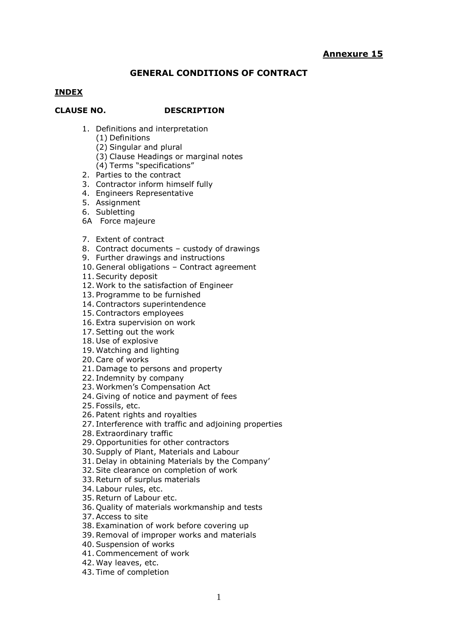# **GENERAL CONDITIONS OF CONTRACT**

#### **INDEX**

#### **CLAUSE NO. DESCRIPTION**

- 1. Definitions and interpretation
	- (1) Definitions
	- (2) Singular and plural
	- (3) Clause Headings or marginal notes
	- (4) Terms "specifications"
- 2. Parties to the contract
- 3. Contractor inform himself fully
- 4. Engineers Representative
- 5. Assignment
- 6. Subletting
- 6A Force majeure
- 7. Extent of contract
- 8. Contract documents custody of drawings
- 9. Further drawings and instructions
- 10. General obligations Contract agreement
- 11.Security deposit
- 12. Work to the satisfaction of Engineer
- 13. Programme to be furnished
- 14.Contractors superintendence
- 15.Contractors employees
- 16. Extra supervision on work
- 17.Setting out the work
- 18. Use of explosive
- 19. Watching and lighting
- 20.Care of works
- 21. Damage to persons and property
- 22. Indemnity by company
- 23. Workmen's Compensation Act
- 24. Giving of notice and payment of fees
- 25. Fossils, etc.
- 26. Patent rights and royalties
- 27. Interference with traffic and adjoining properties
- 28. Extraordinary traffic
- 29. Opportunities for other contractors
- 30.Supply of Plant, Materials and Labour
- 31. Delay in obtaining Materials by the Company'
- 32.Site clearance on completion of work
- 33.Return of surplus materials
- 34. Labour rules, etc.
- 35.Return of Labour etc.
- 36. Quality of materials workmanship and tests
- 37.Access to site
- 38. Examination of work before covering up
- 39.Removal of improper works and materials
- 40.Suspension of works
- 41.Commencement of work
- 42. Way leaves, etc.
- 43. Time of completion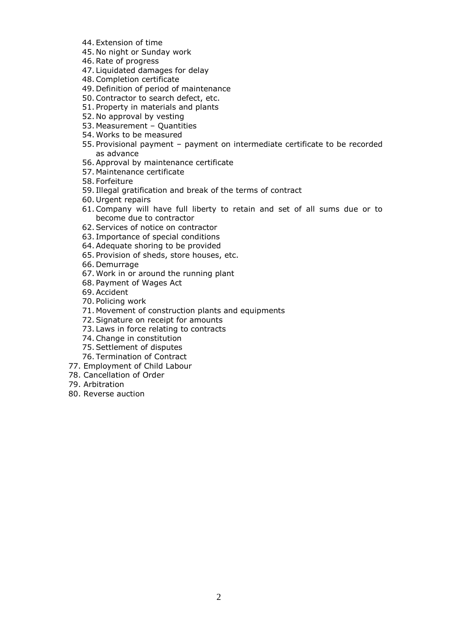- 44. Extension of time
- 45. No night or Sunday work
- 46.Rate of progress
- 47. Liquidated damages for delay
- 48.Completion certificate
- 49. Definition of period of maintenance
- 50.Contractor to search defect, etc.
- 51. Property in materials and plants
- 52. No approval by vesting
- 53. Measurement Quantities
- 54. Works to be measured
- 55. Provisional payment payment on intermediate certificate to be recorded as advance
- 56.Approval by maintenance certificate
- 57. Maintenance certificate
- 58. Forfeiture
- 59. Illegal gratification and break of the terms of contract
- 60. Urgent repairs
- 61.Company will have full liberty to retain and set of all sums due or to become due to contractor
- 62.Services of notice on contractor
- 63. Importance of special conditions
- 64.Adequate shoring to be provided
- 65. Provision of sheds, store houses, etc.
- 66. Demurrage
- 67. Work in or around the running plant
- 68. Payment of Wages Act
- 69.Accident
- 70. Policing work
- 71. Movement of construction plants and equipments
- 72.Signature on receipt for amounts
- 73. Laws in force relating to contracts
- 74.Change in constitution
- 75.Settlement of disputes
- 76. Termination of Contract
- 77. Employment of Child Labour
- 78. Cancellation of Order
- 79. Arbitration
- 80. Reverse auction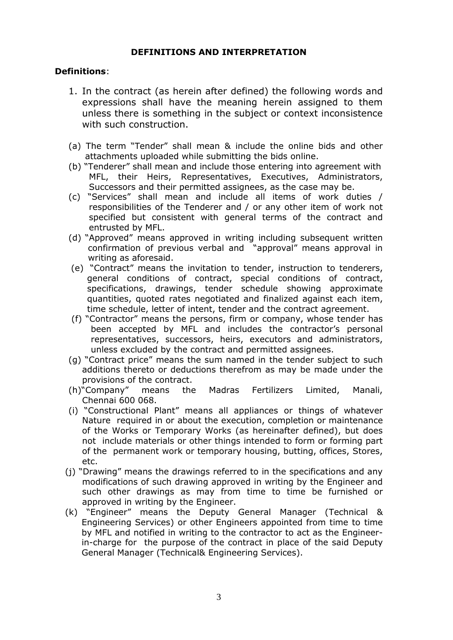## **DEFINITIONS AND INTERPRETATION**

# **Definitions**:

- 1. In the contract (as herein after defined) the following words and expressions shall have the meaning herein assigned to them unless there is something in the subject or context inconsistence with such construction.
- (a) The term "Tender" shall mean & include the online bids and other attachments uploaded while submitting the bids online.
- (b) "Tenderer" shall mean and include those entering into agreement with MFL, their Heirs, Representatives, Executives, Administrators, Successors and their permitted assignees, as the case may be.
- (c) "Services" shall mean and include all items of work duties / responsibilities of the Tenderer and / or any other item of work not specified but consistent with general terms of the contract and entrusted by MFL.
- (d) "Approved" means approved in writing including subsequent written confirmation of previous verbal and "approval" means approval in writing as aforesaid.
- (e) "Contract" means the invitation to tender, instruction to tenderers, general conditions of contract, special conditions of contract, specifications, drawings, tender schedule showing approximate quantities, quoted rates negotiated and finalized against each item, time schedule, letter of intent, tender and the contract agreement.
- (f) "Contractor" means the persons, firm or company, whose tender has been accepted by MFL and includes the contractor's personal representatives, successors, heirs, executors and administrators, unless excluded by the contract and permitted assignees.
- (g) "Contract price" means the sum named in the tender subject to such additions thereto or deductions therefrom as may be made under the provisions of the contract.
- (h)"Company" means the Madras Fertilizers Limited, Manali, Chennai 600 068.
- (i) "Constructional Plant" means all appliances or things of whatever Nature required in or about the execution, completion or maintenance of the Works or Temporary Works (as hereinafter defined), but does not include materials or other things intended to form or forming part of the permanent work or temporary housing, butting, offices, Stores, etc.
- (j) "Drawing" means the drawings referred to in the specifications and any modifications of such drawing approved in writing by the Engineer and such other drawings as may from time to time be furnished or approved in writing by the Engineer.
- (k) "Engineer" means the Deputy General Manager (Technical & Engineering Services) or other Engineers appointed from time to time by MFL and notified in writing to the contractor to act as the Engineerin-charge for the purpose of the contract in place of the said Deputy General Manager (Technical& Engineering Services).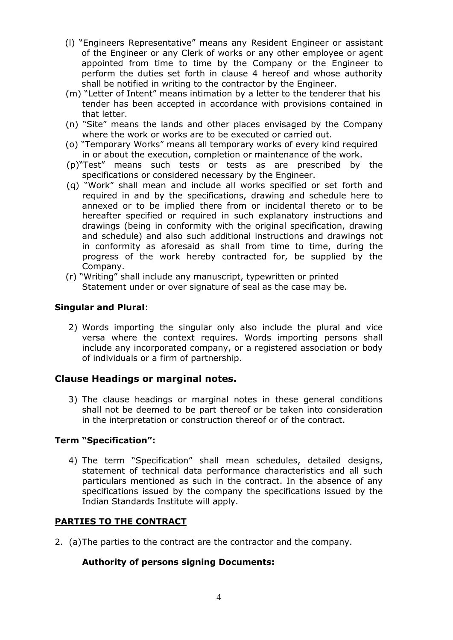- (l) "Engineers Representative" means any Resident Engineer or assistant of the Engineer or any Clerk of works or any other employee or agent appointed from time to time by the Company or the Engineer to perform the duties set forth in clause 4 hereof and whose authority shall be notified in writing to the contractor by the Engineer.
- (m) "Letter of Intent" means intimation by a letter to the tenderer that his tender has been accepted in accordance with provisions contained in that letter.
- (n) "Site" means the lands and other places envisaged by the Company where the work or works are to be executed or carried out.
- (o) "Temporary Works" means all temporary works of every kind required in or about the execution, completion or maintenance of the work.
- (p)"Test" means such tests or tests as are prescribed by the specifications or considered necessary by the Engineer.
- (q) "Work" shall mean and include all works specified or set forth and required in and by the specifications, drawing and schedule here to annexed or to be implied there from or incidental thereto or to be hereafter specified or required in such explanatory instructions and drawings (being in conformity with the original specification, drawing and schedule) and also such additional instructions and drawings not in conformity as aforesaid as shall from time to time, during the progress of the work hereby contracted for, be supplied by the Company.
- (r) "Writing" shall include any manuscript, typewritten or printed Statement under or over signature of seal as the case may be.

# **Singular and Plural**:

2) Words importing the singular only also include the plural and vice versa where the context requires. Words importing persons shall include any incorporated company, or a registered association or body of individuals or a firm of partnership.

# **Clause Headings or marginal notes.**

3) The clause headings or marginal notes in these general conditions shall not be deemed to be part thereof or be taken into consideration in the interpretation or construction thereof or of the contract.

### **Term "Specification":**

4) The term "Specification" shall mean schedules, detailed designs, statement of technical data performance characteristics and all such particulars mentioned as such in the contract. In the absence of any specifications issued by the company the specifications issued by the Indian Standards Institute will apply.

# **PARTIES TO THE CONTRACT**

2. (a)The parties to the contract are the contractor and the company.

# **Authority of persons signing Documents:**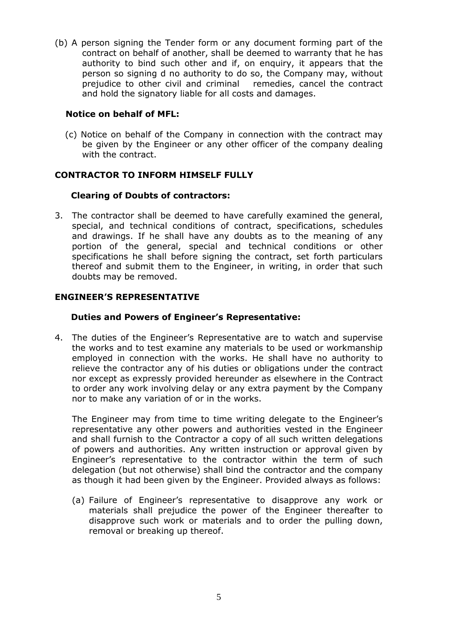(b) A person signing the Tender form or any document forming part of the contract on behalf of another, shall be deemed to warranty that he has authority to bind such other and if, on enquiry, it appears that the person so signing d no authority to do so, the Company may, without prejudice to other civil and criminal remedies, cancel the contract and hold the signatory liable for all costs and damages.

# **Notice on behalf of MFL:**

(c) Notice on behalf of the Company in connection with the contract may be given by the Engineer or any other officer of the company dealing with the contract.

# **CONTRACTOR TO INFORM HIMSELF FULLY**

# **Clearing of Doubts of contractors:**

3. The contractor shall be deemed to have carefully examined the general, special, and technical conditions of contract, specifications, schedules and drawings. If he shall have any doubts as to the meaning of any portion of the general, special and technical conditions or other specifications he shall before signing the contract, set forth particulars thereof and submit them to the Engineer, in writing, in order that such doubts may be removed.

# **ENGINEER'S REPRESENTATIVE**

### **Duties and Powers of Engineer's Representative:**

4. The duties of the Engineer's Representative are to watch and supervise the works and to test examine any materials to be used or workmanship employed in connection with the works. He shall have no authority to relieve the contractor any of his duties or obligations under the contract nor except as expressly provided hereunder as elsewhere in the Contract to order any work involving delay or any extra payment by the Company nor to make any variation of or in the works.

The Engineer may from time to time writing delegate to the Engineer's representative any other powers and authorities vested in the Engineer and shall furnish to the Contractor a copy of all such written delegations of powers and authorities. Any written instruction or approval given by Engineer's representative to the contractor within the term of such delegation (but not otherwise) shall bind the contractor and the company as though it had been given by the Engineer. Provided always as follows:

(a) Failure of Engineer's representative to disapprove any work or materials shall prejudice the power of the Engineer thereafter to disapprove such work or materials and to order the pulling down, removal or breaking up thereof.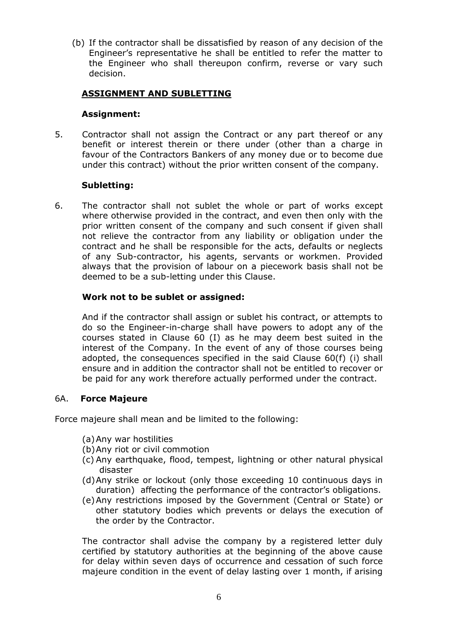(b) If the contractor shall be dissatisfied by reason of any decision of the Engineer's representative he shall be entitled to refer the matter to the Engineer who shall thereupon confirm, reverse or vary such decision.

# **ASSIGNMENT AND SUBLETTING**

# **Assignment:**

5. Contractor shall not assign the Contract or any part thereof or any benefit or interest therein or there under (other than a charge in favour of the Contractors Bankers of any money due or to become due under this contract) without the prior written consent of the company.

# **Subletting:**

6. The contractor shall not sublet the whole or part of works except where otherwise provided in the contract, and even then only with the prior written consent of the company and such consent if given shall not relieve the contractor from any liability or obligation under the contract and he shall be responsible for the acts, defaults or neglects of any Sub-contractor, his agents, servants or workmen. Provided always that the provision of labour on a piecework basis shall not be deemed to be a sub-letting under this Clause.

# **Work not to be sublet or assigned:**

And if the contractor shall assign or sublet his contract, or attempts to do so the Engineer-in-charge shall have powers to adopt any of the courses stated in Clause 60 (I) as he may deem best suited in the interest of the Company. In the event of any of those courses being adopted, the consequences specified in the said Clause 60(f) (i) shall ensure and in addition the contractor shall not be entitled to recover or be paid for any work therefore actually performed under the contract.

# 6A. **Force Majeure**

Force majeure shall mean and be limited to the following:

- (a)Any war hostilities
- (b)Any riot or civil commotion
- (c) Any earthquake, flood, tempest, lightning or other natural physical disaster
- (d)Any strike or lockout (only those exceeding 10 continuous days in duration) affecting the performance of the contractor's obligations.
- (e)Any restrictions imposed by the Government (Central or State) or other statutory bodies which prevents or delays the execution of the order by the Contractor.

The contractor shall advise the company by a registered letter duly certified by statutory authorities at the beginning of the above cause for delay within seven days of occurrence and cessation of such force majeure condition in the event of delay lasting over 1 month, if arising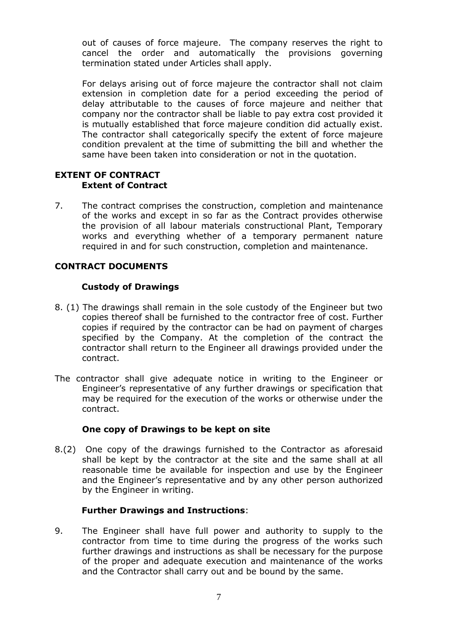out of causes of force majeure. The company reserves the right to cancel the order and automatically the provisions governing termination stated under Articles shall apply.

For delays arising out of force majeure the contractor shall not claim extension in completion date for a period exceeding the period of delay attributable to the causes of force majeure and neither that company nor the contractor shall be liable to pay extra cost provided it is mutually established that force majeure condition did actually exist. The contractor shall categorically specify the extent of force majeure condition prevalent at the time of submitting the bill and whether the same have been taken into consideration or not in the quotation.

## **EXTENT OF CONTRACT Extent of Contract**

7. The contract comprises the construction, completion and maintenance of the works and except in so far as the Contract provides otherwise the provision of all labour materials constructional Plant, Temporary works and everything whether of a temporary permanent nature required in and for such construction, completion and maintenance.

# **CONTRACT DOCUMENTS**

# **Custody of Drawings**

- 8. (1) The drawings shall remain in the sole custody of the Engineer but two copies thereof shall be furnished to the contractor free of cost. Further copies if required by the contractor can be had on payment of charges specified by the Company. At the completion of the contract the contractor shall return to the Engineer all drawings provided under the contract.
- The contractor shall give adequate notice in writing to the Engineer or Engineer's representative of any further drawings or specification that may be required for the execution of the works or otherwise under the contract.

#### **One copy of Drawings to be kept on site**

8.(2) One copy of the drawings furnished to the Contractor as aforesaid shall be kept by the contractor at the site and the same shall at all reasonable time be available for inspection and use by the Engineer and the Engineer's representative and by any other person authorized by the Engineer in writing.

#### **Further Drawings and Instructions**:

9. The Engineer shall have full power and authority to supply to the contractor from time to time during the progress of the works such further drawings and instructions as shall be necessary for the purpose of the proper and adequate execution and maintenance of the works and the Contractor shall carry out and be bound by the same.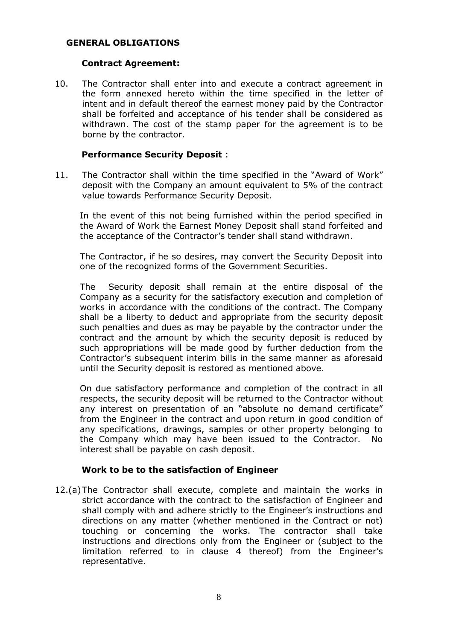#### **GENERAL OBLIGATIONS**

#### **Contract Agreement:**

10. The Contractor shall enter into and execute a contract agreement in the form annexed hereto within the time specified in the letter of intent and in default thereof the earnest money paid by the Contractor shall be forfeited and acceptance of his tender shall be considered as withdrawn. The cost of the stamp paper for the agreement is to be borne by the contractor.

#### **Performance Security Deposit** :

11. The Contractor shall within the time specified in the "Award of Work" deposit with the Company an amount equivalent to 5% of the contract value towards Performance Security Deposit.

In the event of this not being furnished within the period specified in the Award of Work the Earnest Money Deposit shall stand forfeited and the acceptance of the Contractor's tender shall stand withdrawn.

The Contractor, if he so desires, may convert the Security Deposit into one of the recognized forms of the Government Securities.

The Security deposit shall remain at the entire disposal of the Company as a security for the satisfactory execution and completion of works in accordance with the conditions of the contract. The Company shall be a liberty to deduct and appropriate from the security deposit such penalties and dues as may be payable by the contractor under the contract and the amount by which the security deposit is reduced by such appropriations will be made good by further deduction from the Contractor's subsequent interim bills in the same manner as aforesaid until the Security deposit is restored as mentioned above.

On due satisfactory performance and completion of the contract in all respects, the security deposit will be returned to the Contractor without any interest on presentation of an "absolute no demand certificate" from the Engineer in the contract and upon return in good condition of any specifications, drawings, samples or other property belonging to the Company which may have been issued to the Contractor. No interest shall be payable on cash deposit.

#### **Work to be to the satisfaction of Engineer**

12.(a)The Contractor shall execute, complete and maintain the works in strict accordance with the contract to the satisfaction of Engineer and shall comply with and adhere strictly to the Engineer's instructions and directions on any matter (whether mentioned in the Contract or not) touching or concerning the works. The contractor shall take instructions and directions only from the Engineer or (subject to the limitation referred to in clause 4 thereof) from the Engineer's representative.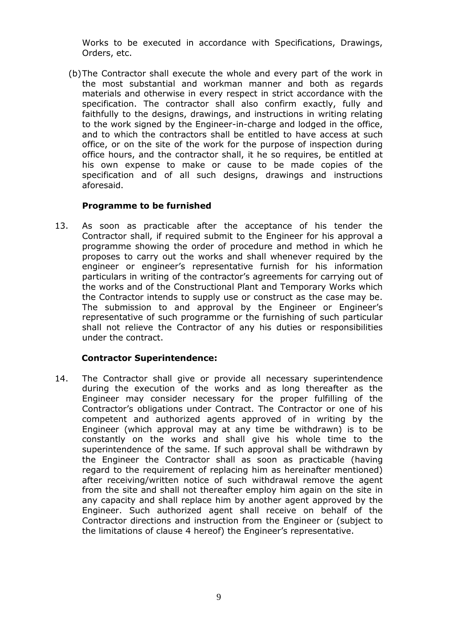Works to be executed in accordance with Specifications, Drawings, Orders, etc.

(b)The Contractor shall execute the whole and every part of the work in the most substantial and workman manner and both as regards materials and otherwise in every respect in strict accordance with the specification. The contractor shall also confirm exactly, fully and faithfully to the designs, drawings, and instructions in writing relating to the work signed by the Engineer-in-charge and lodged in the office, and to which the contractors shall be entitled to have access at such office, or on the site of the work for the purpose of inspection during office hours, and the contractor shall, it he so requires, be entitled at his own expense to make or cause to be made copies of the specification and of all such designs, drawings and instructions aforesaid.

# **Programme to be furnished**

13. As soon as practicable after the acceptance of his tender the Contractor shall, if required submit to the Engineer for his approval a programme showing the order of procedure and method in which he proposes to carry out the works and shall whenever required by the engineer or engineer's representative furnish for his information particulars in writing of the contractor's agreements for carrying out of the works and of the Constructional Plant and Temporary Works which the Contractor intends to supply use or construct as the case may be. The submission to and approval by the Engineer or Engineer's representative of such programme or the furnishing of such particular shall not relieve the Contractor of any his duties or responsibilities under the contract.

# **Contractor Superintendence:**

14. The Contractor shall give or provide all necessary superintendence during the execution of the works and as long thereafter as the Engineer may consider necessary for the proper fulfilling of the Contractor's obligations under Contract. The Contractor or one of his competent and authorized agents approved of in writing by the Engineer (which approval may at any time be withdrawn) is to be constantly on the works and shall give his whole time to the superintendence of the same. If such approval shall be withdrawn by the Engineer the Contractor shall as soon as practicable (having regard to the requirement of replacing him as hereinafter mentioned) after receiving/written notice of such withdrawal remove the agent from the site and shall not thereafter employ him again on the site in any capacity and shall replace him by another agent approved by the Engineer. Such authorized agent shall receive on behalf of the Contractor directions and instruction from the Engineer or (subject to the limitations of clause 4 hereof) the Engineer's representative.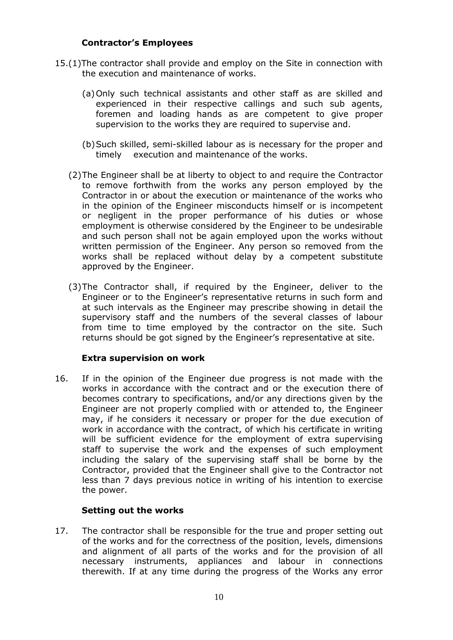## **Contractor's Employees**

- 15.(1)The contractor shall provide and employ on the Site in connection with the execution and maintenance of works.
	- (a)Only such technical assistants and other staff as are skilled and experienced in their respective callings and such sub agents, foremen and loading hands as are competent to give proper supervision to the works they are required to supervise and.
	- (b)Such skilled, semi-skilled labour as is necessary for the proper and timely execution and maintenance of the works.
	- (2)The Engineer shall be at liberty to object to and require the Contractor to remove forthwith from the works any person employed by the Contractor in or about the execution or maintenance of the works who in the opinion of the Engineer misconducts himself or is incompetent or negligent in the proper performance of his duties or whose employment is otherwise considered by the Engineer to be undesirable and such person shall not be again employed upon the works without written permission of the Engineer. Any person so removed from the works shall be replaced without delay by a competent substitute approved by the Engineer.
	- (3)The Contractor shall, if required by the Engineer, deliver to the Engineer or to the Engineer's representative returns in such form and at such intervals as the Engineer may prescribe showing in detail the supervisory staff and the numbers of the several classes of labour from time to time employed by the contractor on the site. Such returns should be got signed by the Engineer's representative at site.

# **Extra supervision on work**

16. If in the opinion of the Engineer due progress is not made with the works in accordance with the contract and or the execution there of becomes contrary to specifications, and/or any directions given by the Engineer are not properly complied with or attended to, the Engineer may, if he considers it necessary or proper for the due execution of work in accordance with the contract, of which his certificate in writing will be sufficient evidence for the employment of extra supervising staff to supervise the work and the expenses of such employment including the salary of the supervising staff shall be borne by the Contractor, provided that the Engineer shall give to the Contractor not less than 7 days previous notice in writing of his intention to exercise the power.

#### **Setting out the works**

17. The contractor shall be responsible for the true and proper setting out of the works and for the correctness of the position, levels, dimensions and alignment of all parts of the works and for the provision of all necessary instruments, appliances and labour in connections therewith. If at any time during the progress of the Works any error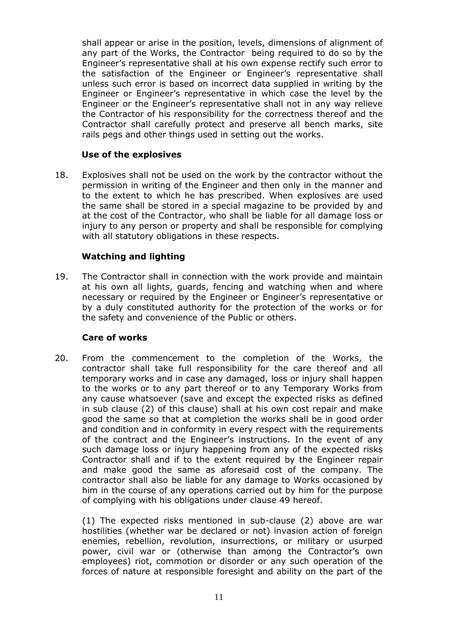shall appear or arise in the position, levels, dimensions of alignment of any part of the Works, the Contractor being required to do so by the Engineer's representative shall at his own expense rectify such error to the satisfaction of the Engineer or Engineer's representative shall unless such error is based on incorrect data supplied in writing by the Engineer or Engineer's representative in which case the level by the Engineer or the Engineer's representative shall not in any way relieve the Contractor of his responsibility for the correctness thereof and the Contractor shall carefully protect and preserve all bench marks, site rails pegs and other things used in setting out the works.

# **Use of the explosives**

18. Explosives shall not be used on the work by the contractor without the permission in writing of the Engineer and then only in the manner and to the extent to which he has prescribed. When explosives are used the same shall be stored in a special magazine to be provided by and at the cost of the Contractor, who shall be liable for all damage loss or injury to any person or property and shall be responsible for complying with all statutory obligations in these respects.

# **Watching and lighting**

19. The Contractor shall in connection with the work provide and maintain at his own all lights, guards, fencing and watching when and where necessary or required by the Engineer or Engineer's representative or by a duly constituted authority for the protection of the works or for the safety and convenience of the Public or others.

# **Care of works**

20. From the commencement to the completion of the Works, the contractor shall take full responsibility for the care thereof and all temporary works and in case any damaged, loss or injury shall happen to the works or to any part thereof or to any Temporary Works from any cause whatsoever (save and except the expected risks as defined in sub clause (2) of this clause) shall at his own cost repair and make good the same so that at completion the works shall be in good order and condition and in conformity in every respect with the requirements of the contract and the Engineer's instructions. In the event of any such damage loss or injury happening from any of the expected risks Contractor shall and if to the extent required by the Engineer repair and make good the same as aforesaid cost of the company. The contractor shall also be liable for any damage to Works occasioned by him in the course of any operations carried out by him for the purpose of complying with his obligations under clause 49 hereof.

(1) The expected risks mentioned in sub-clause (2) above are war hostilities (whether war be declared or not) invasion action of foreign enemies, rebellion, revolution, insurrections, or military or usurped power, civil war or (otherwise than among the Contractor's own employees) riot, commotion or disorder or any such operation of the forces of nature at responsible foresight and ability on the part of the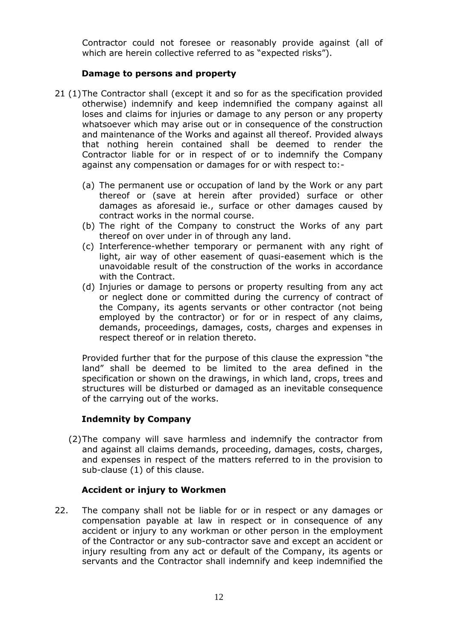Contractor could not foresee or reasonably provide against (all of which are herein collective referred to as "expected risks").

# **Damage to persons and property**

- 21 (1)The Contractor shall (except it and so for as the specification provided otherwise) indemnify and keep indemnified the company against all loses and claims for injuries or damage to any person or any property whatsoever which may arise out or in consequence of the construction and maintenance of the Works and against all thereof. Provided always that nothing herein contained shall be deemed to render the Contractor liable for or in respect of or to indemnify the Company against any compensation or damages for or with respect to:-
	- (a) The permanent use or occupation of land by the Work or any part thereof or (save at herein after provided) surface or other damages as aforesaid ie., surface or other damages caused by contract works in the normal course.
	- (b) The right of the Company to construct the Works of any part thereof on over under in of through any land.
	- (c) Interference-whether temporary or permanent with any right of light, air way of other easement of quasi-easement which is the unavoidable result of the construction of the works in accordance with the Contract.
	- (d) Injuries or damage to persons or property resulting from any act or neglect done or committed during the currency of contract of the Company, its agents servants or other contractor (not being employed by the contractor) or for or in respect of any claims, demands, proceedings, damages, costs, charges and expenses in respect thereof or in relation thereto.

Provided further that for the purpose of this clause the expression "the land" shall be deemed to be limited to the area defined in the specification or shown on the drawings, in which land, crops, trees and structures will be disturbed or damaged as an inevitable consequence of the carrying out of the works.

# **Indemnity by Company**

(2)The company will save harmless and indemnify the contractor from and against all claims demands, proceeding, damages, costs, charges, and expenses in respect of the matters referred to in the provision to sub-clause (1) of this clause.

# **Accident or injury to Workmen**

22. The company shall not be liable for or in respect or any damages or compensation payable at law in respect or in consequence of any accident or injury to any workman or other person in the employment of the Contractor or any sub-contractor save and except an accident or injury resulting from any act or default of the Company, its agents or servants and the Contractor shall indemnify and keep indemnified the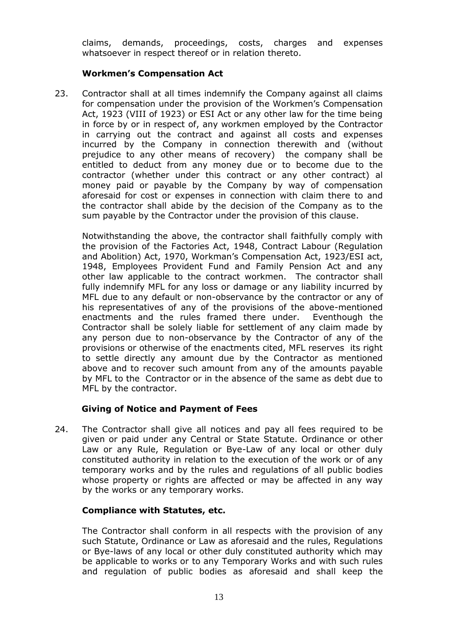claims, demands, proceedings, costs, charges and expenses whatsoever in respect thereof or in relation thereto.

# **Workmen's Compensation Act**

23. Contractor shall at all times indemnify the Company against all claims for compensation under the provision of the Workmen's Compensation Act, 1923 (VIII of 1923) or ESI Act or any other law for the time being in force by or in respect of, any workmen employed by the Contractor in carrying out the contract and against all costs and expenses incurred by the Company in connection therewith and (without prejudice to any other means of recovery) the company shall be entitled to deduct from any money due or to become due to the contractor (whether under this contract or any other contract) al money paid or payable by the Company by way of compensation aforesaid for cost or expenses in connection with claim there to and the contractor shall abide by the decision of the Company as to the sum payable by the Contractor under the provision of this clause.

Notwithstanding the above, the contractor shall faithfully comply with the provision of the Factories Act, 1948, Contract Labour (Regulation and Abolition) Act, 1970, Workman's Compensation Act, 1923/ESI act, 1948, Employees Provident Fund and Family Pension Act and any other law applicable to the contract workmen. The contractor shall fully indemnify MFL for any loss or damage or any liability incurred by MFL due to any default or non-observance by the contractor or any of his representatives of any of the provisions of the above-mentioned enactments and the rules framed there under. Eventhough the Contractor shall be solely liable for settlement of any claim made by any person due to non-observance by the Contractor of any of the provisions or otherwise of the enactments cited, MFL reserves its right to settle directly any amount due by the Contractor as mentioned above and to recover such amount from any of the amounts payable by MFL to the Contractor or in the absence of the same as debt due to MFL by the contractor.

# **Giving of Notice and Payment of Fees**

24. The Contractor shall give all notices and pay all fees required to be given or paid under any Central or State Statute. Ordinance or other Law or any Rule, Regulation or Bye-Law of any local or other duly constituted authority in relation to the execution of the work or of any temporary works and by the rules and regulations of all public bodies whose property or rights are affected or may be affected in any way by the works or any temporary works.

# **Compliance with Statutes, etc.**

The Contractor shall conform in all respects with the provision of any such Statute, Ordinance or Law as aforesaid and the rules, Regulations or Bye-laws of any local or other duly constituted authority which may be applicable to works or to any Temporary Works and with such rules and regulation of public bodies as aforesaid and shall keep the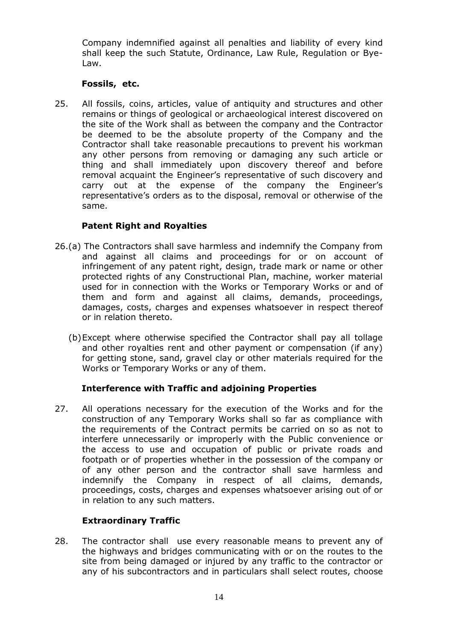Company indemnified against all penalties and liability of every kind shall keep the such Statute, Ordinance, Law Rule, Regulation or Bye-Law.

## **Fossils, etc.**

25. All fossils, coins, articles, value of antiquity and structures and other remains or things of geological or archaeological interest discovered on the site of the Work shall as between the company and the Contractor be deemed to be the absolute property of the Company and the Contractor shall take reasonable precautions to prevent his workman any other persons from removing or damaging any such article or thing and shall immediately upon discovery thereof and before removal acquaint the Engineer's representative of such discovery and carry out at the expense of the company the Engineer's representative's orders as to the disposal, removal or otherwise of the same.

# **Patent Right and Royalties**

- 26.(a) The Contractors shall save harmless and indemnify the Company from and against all claims and proceedings for or on account of infringement of any patent right, design, trade mark or name or other protected rights of any Constructional Plan, machine, worker material used for in connection with the Works or Temporary Works or and of them and form and against all claims, demands, proceedings, damages, costs, charges and expenses whatsoever in respect thereof or in relation thereto.
	- (b)Except where otherwise specified the Contractor shall pay all tollage and other royalties rent and other payment or compensation (if any) for getting stone, sand, gravel clay or other materials required for the Works or Temporary Works or any of them.

# **Interference with Traffic and adjoining Properties**

27. All operations necessary for the execution of the Works and for the construction of any Temporary Works shall so far as compliance with the requirements of the Contract permits be carried on so as not to interfere unnecessarily or improperly with the Public convenience or the access to use and occupation of public or private roads and footpath or of properties whether in the possession of the company or of any other person and the contractor shall save harmless and indemnify the Company in respect of all claims, demands, proceedings, costs, charges and expenses whatsoever arising out of or in relation to any such matters.

# **Extraordinary Traffic**

28. The contractor shall use every reasonable means to prevent any of the highways and bridges communicating with or on the routes to the site from being damaged or injured by any traffic to the contractor or any of his subcontractors and in particulars shall select routes, choose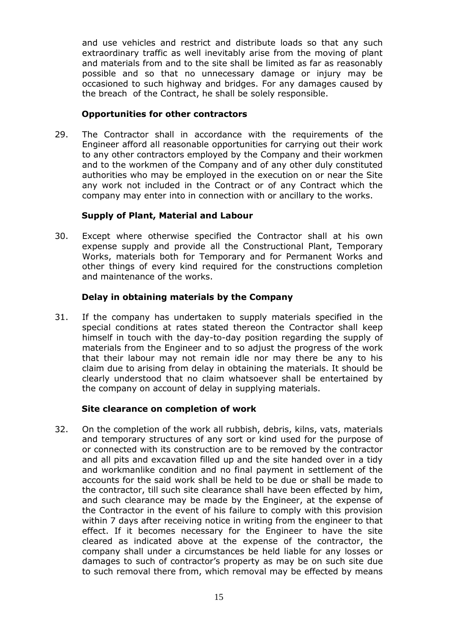and use vehicles and restrict and distribute loads so that any such extraordinary traffic as well inevitably arise from the moving of plant and materials from and to the site shall be limited as far as reasonably possible and so that no unnecessary damage or injury may be occasioned to such highway and bridges. For any damages caused by the breach of the Contract, he shall be solely responsible.

## **Opportunities for other contractors**

29. The Contractor shall in accordance with the requirements of the Engineer afford all reasonable opportunities for carrying out their work to any other contractors employed by the Company and their workmen and to the workmen of the Company and of any other duly constituted authorities who may be employed in the execution on or near the Site any work not included in the Contract or of any Contract which the company may enter into in connection with or ancillary to the works.

# **Supply of Plant, Material and Labour**

30. Except where otherwise specified the Contractor shall at his own expense supply and provide all the Constructional Plant, Temporary Works, materials both for Temporary and for Permanent Works and other things of every kind required for the constructions completion and maintenance of the works.

# **Delay in obtaining materials by the Company**

31. If the company has undertaken to supply materials specified in the special conditions at rates stated thereon the Contractor shall keep himself in touch with the day-to-day position regarding the supply of materials from the Engineer and to so adjust the progress of the work that their labour may not remain idle nor may there be any to his claim due to arising from delay in obtaining the materials. It should be clearly understood that no claim whatsoever shall be entertained by the company on account of delay in supplying materials.

# **Site clearance on completion of work**

32. On the completion of the work all rubbish, debris, kilns, vats, materials and temporary structures of any sort or kind used for the purpose of or connected with its construction are to be removed by the contractor and all pits and excavation filled up and the site handed over in a tidy and workmanlike condition and no final payment in settlement of the accounts for the said work shall be held to be due or shall be made to the contractor, till such site clearance shall have been effected by him, and such clearance may be made by the Engineer, at the expense of the Contractor in the event of his failure to comply with this provision within 7 days after receiving notice in writing from the engineer to that effect. If it becomes necessary for the Engineer to have the site cleared as indicated above at the expense of the contractor, the company shall under a circumstances be held liable for any losses or damages to such of contractor's property as may be on such site due to such removal there from, which removal may be effected by means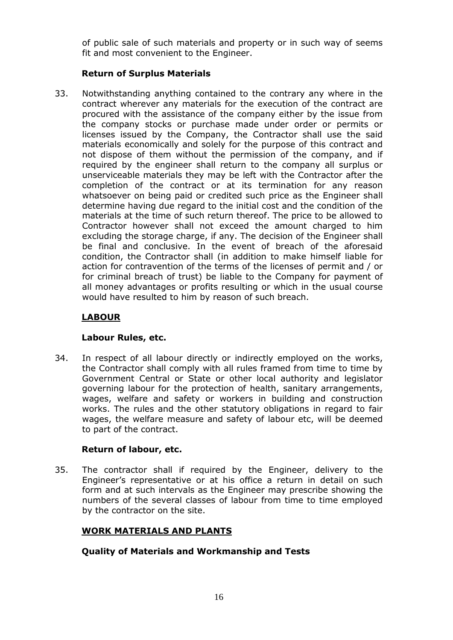of public sale of such materials and property or in such way of seems fit and most convenient to the Engineer.

# **Return of Surplus Materials**

33. Notwithstanding anything contained to the contrary any where in the contract wherever any materials for the execution of the contract are procured with the assistance of the company either by the issue from the company stocks or purchase made under order or permits or licenses issued by the Company, the Contractor shall use the said materials economically and solely for the purpose of this contract and not dispose of them without the permission of the company, and if required by the engineer shall return to the company all surplus or unserviceable materials they may be left with the Contractor after the completion of the contract or at its termination for any reason whatsoever on being paid or credited such price as the Engineer shall determine having due regard to the initial cost and the condition of the materials at the time of such return thereof. The price to be allowed to Contractor however shall not exceed the amount charged to him excluding the storage charge, if any. The decision of the Engineer shall be final and conclusive. In the event of breach of the aforesaid condition, the Contractor shall (in addition to make himself liable for action for contravention of the terms of the licenses of permit and / or for criminal breach of trust) be liable to the Company for payment of all money advantages or profits resulting or which in the usual course would have resulted to him by reason of such breach.

# **LABOUR**

# **Labour Rules, etc.**

34. In respect of all labour directly or indirectly employed on the works, the Contractor shall comply with all rules framed from time to time by Government Central or State or other local authority and legislator governing labour for the protection of health, sanitary arrangements, wages, welfare and safety or workers in building and construction works. The rules and the other statutory obligations in regard to fair wages, the welfare measure and safety of labour etc, will be deemed to part of the contract.

# **Return of labour, etc.**

35. The contractor shall if required by the Engineer, delivery to the Engineer's representative or at his office a return in detail on such form and at such intervals as the Engineer may prescribe showing the numbers of the several classes of labour from time to time employed by the contractor on the site.

# **WORK MATERIALS AND PLANTS**

# **Quality of Materials and Workmanship and Tests**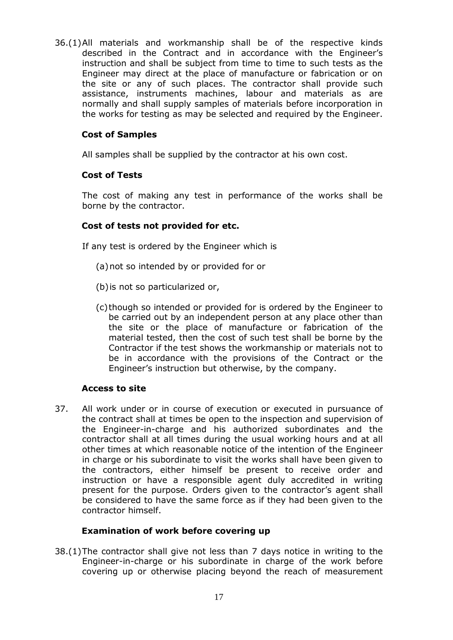36.(1)All materials and workmanship shall be of the respective kinds described in the Contract and in accordance with the Engineer's instruction and shall be subject from time to time to such tests as the Engineer may direct at the place of manufacture or fabrication or on the site or any of such places. The contractor shall provide such assistance, instruments machines, labour and materials as are normally and shall supply samples of materials before incorporation in the works for testing as may be selected and required by the Engineer.

# **Cost of Samples**

All samples shall be supplied by the contractor at his own cost.

# **Cost of Tests**

The cost of making any test in performance of the works shall be borne by the contractor.

# **Cost of tests not provided for etc.**

If any test is ordered by the Engineer which is

- (a)not so intended by or provided for or
- (b)is not so particularized or,
- (c)though so intended or provided for is ordered by the Engineer to be carried out by an independent person at any place other than the site or the place of manufacture or fabrication of the material tested, then the cost of such test shall be borne by the Contractor if the test shows the workmanship or materials not to be in accordance with the provisions of the Contract or the Engineer's instruction but otherwise, by the company.

# **Access to site**

37. All work under or in course of execution or executed in pursuance of the contract shall at times be open to the inspection and supervision of the Engineer-in-charge and his authorized subordinates and the contractor shall at all times during the usual working hours and at all other times at which reasonable notice of the intention of the Engineer in charge or his subordinate to visit the works shall have been given to the contractors, either himself be present to receive order and instruction or have a responsible agent duly accredited in writing present for the purpose. Orders given to the contractor's agent shall be considered to have the same force as if they had been given to the contractor himself.

# **Examination of work before covering up**

38.(1)The contractor shall give not less than 7 days notice in writing to the Engineer-in-charge or his subordinate in charge of the work before covering up or otherwise placing beyond the reach of measurement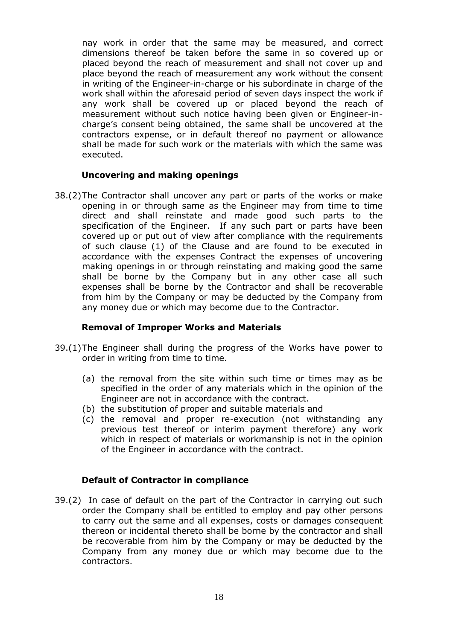nay work in order that the same may be measured, and correct dimensions thereof be taken before the same in so covered up or placed beyond the reach of measurement and shall not cover up and place beyond the reach of measurement any work without the consent in writing of the Engineer-in-charge or his subordinate in charge of the work shall within the aforesaid period of seven days inspect the work if any work shall be covered up or placed beyond the reach of measurement without such notice having been given or Engineer-incharge's consent being obtained, the same shall be uncovered at the contractors expense, or in default thereof no payment or allowance shall be made for such work or the materials with which the same was executed.

# **Uncovering and making openings**

38.(2)The Contractor shall uncover any part or parts of the works or make opening in or through same as the Engineer may from time to time direct and shall reinstate and made good such parts to the specification of the Engineer. If any such part or parts have been covered up or put out of view after compliance with the requirements of such clause (1) of the Clause and are found to be executed in accordance with the expenses Contract the expenses of uncovering making openings in or through reinstating and making good the same shall be borne by the Company but in any other case all such expenses shall be borne by the Contractor and shall be recoverable from him by the Company or may be deducted by the Company from any money due or which may become due to the Contractor.

#### **Removal of Improper Works and Materials**

- 39.(1)The Engineer shall during the progress of the Works have power to order in writing from time to time.
	- (a) the removal from the site within such time or times may as be specified in the order of any materials which in the opinion of the Engineer are not in accordance with the contract.
	- (b) the substitution of proper and suitable materials and
	- (c) the removal and proper re-execution (not withstanding any previous test thereof or interim payment therefore) any work which in respect of materials or workmanship is not in the opinion of the Engineer in accordance with the contract.

# **Default of Contractor in compliance**

39.(2) In case of default on the part of the Contractor in carrying out such order the Company shall be entitled to employ and pay other persons to carry out the same and all expenses, costs or damages consequent thereon or incidental thereto shall be borne by the contractor and shall be recoverable from him by the Company or may be deducted by the Company from any money due or which may become due to the contractors.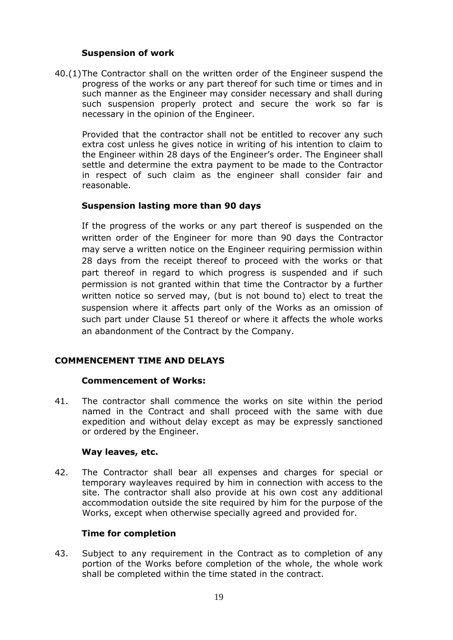# **Suspension of work**

40.(1)The Contractor shall on the written order of the Engineer suspend the progress of the works or any part thereof for such time or times and in such manner as the Engineer may consider necessary and shall during such suspension properly protect and secure the work so far is necessary in the opinion of the Engineer.

Provided that the contractor shall not be entitled to recover any such extra cost unless he gives notice in writing of his intention to claim to the Engineer within 28 days of the Engineer's order. The Engineer shall settle and determine the extra payment to be made to the Contractor in respect of such claim as the engineer shall consider fair and reasonable.

# **Suspension lasting more than 90 days**

If the progress of the works or any part thereof is suspended on the written order of the Engineer for more than 90 days the Contractor may serve a written notice on the Engineer requiring permission within 28 days from the receipt thereof to proceed with the works or that part thereof in regard to which progress is suspended and if such permission is not granted within that time the Contractor by a further written notice so served may, (but is not bound to) elect to treat the suspension where it affects part only of the Works as an omission of such part under Clause 51 thereof or where it affects the whole works an abandonment of the Contract by the Company.

# **COMMENCEMENT TIME AND DELAYS**

#### **Commencement of Works:**

41. The contractor shall commence the works on site within the period named in the Contract and shall proceed with the same with due expedition and without delay except as may be expressly sanctioned or ordered by the Engineer.

#### **Way leaves, etc.**

42. The Contractor shall bear all expenses and charges for special or temporary wayleaves required by him in connection with access to the site. The contractor shall also provide at his own cost any additional accommodation outside the site required by him for the purpose of the Works, except when otherwise specially agreed and provided for.

#### **Time for completion**

43. Subject to any requirement in the Contract as to completion of any portion of the Works before completion of the whole, the whole work shall be completed within the time stated in the contract.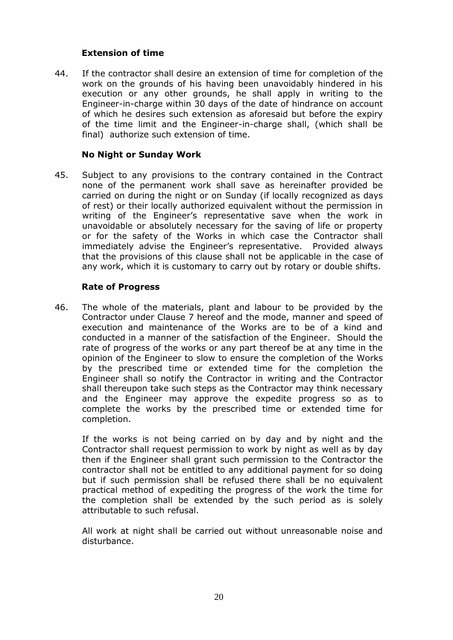# **Extension of time**

44. If the contractor shall desire an extension of time for completion of the work on the grounds of his having been unavoidably hindered in his execution or any other grounds, he shall apply in writing to the Engineer-in-charge within 30 days of the date of hindrance on account of which he desires such extension as aforesaid but before the expiry of the time limit and the Engineer-in-charge shall, (which shall be final) authorize such extension of time.

## **No Night or Sunday Work**

45. Subject to any provisions to the contrary contained in the Contract none of the permanent work shall save as hereinafter provided be carried on during the night or on Sunday (if locally recognized as days of rest) or their locally authorized equivalent without the permission in writing of the Engineer's representative save when the work in unavoidable or absolutely necessary for the saving of life or property or for the safety of the Works in which case the Contractor shall immediately advise the Engineer's representative. Provided always that the provisions of this clause shall not be applicable in the case of any work, which it is customary to carry out by rotary or double shifts.

#### **Rate of Progress**

46. The whole of the materials, plant and labour to be provided by the Contractor under Clause 7 hereof and the mode, manner and speed of execution and maintenance of the Works are to be of a kind and conducted in a manner of the satisfaction of the Engineer. Should the rate of progress of the works or any part thereof be at any time in the opinion of the Engineer to slow to ensure the completion of the Works by the prescribed time or extended time for the completion the Engineer shall so notify the Contractor in writing and the Contractor shall thereupon take such steps as the Contractor may think necessary and the Engineer may approve the expedite progress so as to complete the works by the prescribed time or extended time for completion.

If the works is not being carried on by day and by night and the Contractor shall request permission to work by night as well as by day then if the Engineer shall grant such permission to the Contractor the contractor shall not be entitled to any additional payment for so doing but if such permission shall be refused there shall be no equivalent practical method of expediting the progress of the work the time for the completion shall be extended by the such period as is solely attributable to such refusal.

All work at night shall be carried out without unreasonable noise and disturbance.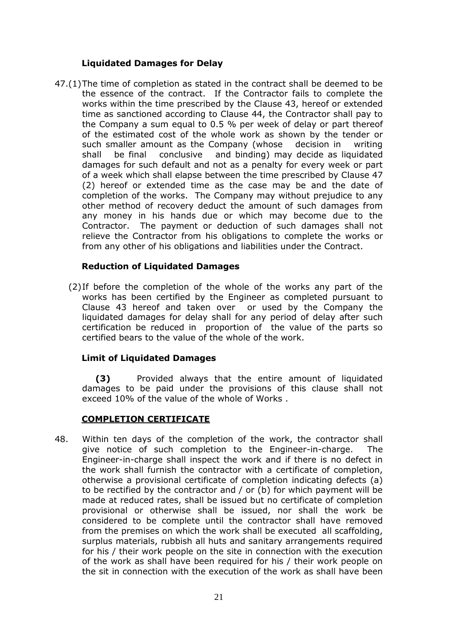# **Liquidated Damages for Delay**

47.(1)The time of completion as stated in the contract shall be deemed to be the essence of the contract. If the Contractor fails to complete the works within the time prescribed by the Clause 43, hereof or extended time as sanctioned according to Clause 44, the Contractor shall pay to the Company a sum equal to 0.5 % per week of delay or part thereof of the estimated cost of the whole work as shown by the tender or such smaller amount as the Company (whose decision in writing shall be final conclusive and binding) may decide as liquidated damages for such default and not as a penalty for every week or part of a week which shall elapse between the time prescribed by Clause 47 (2) hereof or extended time as the case may be and the date of completion of the works. The Company may without prejudice to any other method of recovery deduct the amount of such damages from any money in his hands due or which may become due to the Contractor. The payment or deduction of such damages shall not relieve the Contractor from his obligations to complete the works or from any other of his obligations and liabilities under the Contract.

# **Reduction of Liquidated Damages**

(2)If before the completion of the whole of the works any part of the works has been certified by the Engineer as completed pursuant to Clause 43 hereof and taken over or used by the Company the liquidated damages for delay shall for any period of delay after such certification be reduced in proportion of the value of the parts so certified bears to the value of the whole of the work.

# **Limit of Liquidated Damages**

**(3)** Provided always that the entire amount of liquidated damages to be paid under the provisions of this clause shall not exceed 10% of the value of the whole of Works .

# **COMPLETION CERTIFICATE**

48. Within ten days of the completion of the work, the contractor shall give notice of such completion to the Engineer-in-charge. The Engineer-in-charge shall inspect the work and if there is no defect in the work shall furnish the contractor with a certificate of completion, otherwise a provisional certificate of completion indicating defects (a) to be rectified by the contractor and / or (b) for which payment will be made at reduced rates, shall be issued but no certificate of completion provisional or otherwise shall be issued, nor shall the work be considered to be complete until the contractor shall have removed from the premises on which the work shall be executed all scaffolding, surplus materials, rubbish all huts and sanitary arrangements required for his / their work people on the site in connection with the execution of the work as shall have been required for his / their work people on the sit in connection with the execution of the work as shall have been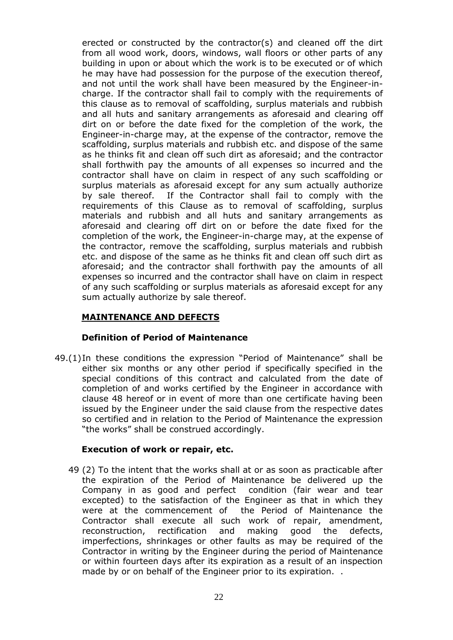erected or constructed by the contractor(s) and cleaned off the dirt from all wood work, doors, windows, wall floors or other parts of any building in upon or about which the work is to be executed or of which he may have had possession for the purpose of the execution thereof, and not until the work shall have been measured by the Engineer-incharge. If the contractor shall fail to comply with the requirements of this clause as to removal of scaffolding, surplus materials and rubbish and all huts and sanitary arrangements as aforesaid and clearing off dirt on or before the date fixed for the completion of the work, the Engineer-in-charge may, at the expense of the contractor, remove the scaffolding, surplus materials and rubbish etc. and dispose of the same as he thinks fit and clean off such dirt as aforesaid; and the contractor shall forthwith pay the amounts of all expenses so incurred and the contractor shall have on claim in respect of any such scaffolding or surplus materials as aforesaid except for any sum actually authorize by sale thereof. If the Contractor shall fail to comply with the requirements of this Clause as to removal of scaffolding, surplus materials and rubbish and all huts and sanitary arrangements as aforesaid and clearing off dirt on or before the date fixed for the completion of the work, the Engineer-in-charge may, at the expense of the contractor, remove the scaffolding, surplus materials and rubbish etc. and dispose of the same as he thinks fit and clean off such dirt as aforesaid; and the contractor shall forthwith pay the amounts of all expenses so incurred and the contractor shall have on claim in respect of any such scaffolding or surplus materials as aforesaid except for any sum actually authorize by sale thereof.

# **MAINTENANCE AND DEFECTS**

# **Definition of Period of Maintenance**

49.(1)In these conditions the expression "Period of Maintenance" shall be either six months or any other period if specifically specified in the special conditions of this contract and calculated from the date of completion of and works certified by the Engineer in accordance with clause 48 hereof or in event of more than one certificate having been issued by the Engineer under the said clause from the respective dates so certified and in relation to the Period of Maintenance the expression "the works" shall be construed accordingly.

# **Execution of work or repair, etc.**

49 (2) To the intent that the works shall at or as soon as practicable after the expiration of the Period of Maintenance be delivered up the Company in as good and perfect condition (fair wear and tear excepted) to the satisfaction of the Engineer as that in which they were at the commencement of the Period of Maintenance the Contractor shall execute all such work of repair, amendment, reconstruction, rectification and making good the defects, imperfections, shrinkages or other faults as may be required of the Contractor in writing by the Engineer during the period of Maintenance or within fourteen days after its expiration as a result of an inspection made by or on behalf of the Engineer prior to its expiration. .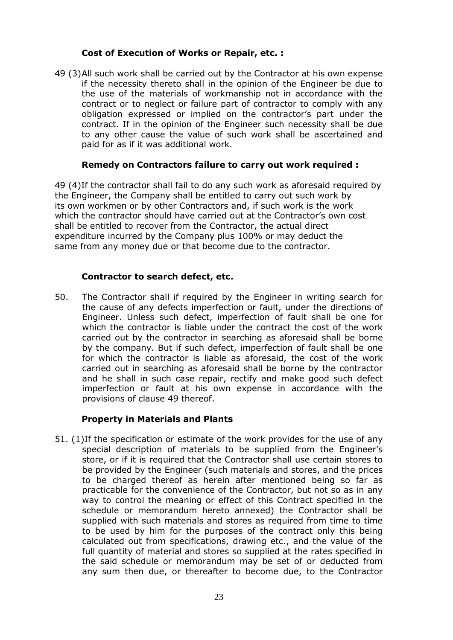# **Cost of Execution of Works or Repair, etc. :**

49 (3)All such work shall be carried out by the Contractor at his own expense if the necessity thereto shall in the opinion of the Engineer be due to the use of the materials of workmanship not in accordance with the contract or to neglect or failure part of contractor to comply with any obligation expressed or implied on the contractor's part under the contract. If in the opinion of the Engineer such necessity shall be due to any other cause the value of such work shall be ascertained and paid for as if it was additional work.

# **Remedy on Contractors failure to carry out work required :**

49 (4)If the contractor shall fail to do any such work as aforesaid required by the Engineer, the Company shall be entitled to carry out such work by its own workmen or by other Contractors and, if such work is the work which the contractor should have carried out at the Contractor's own cost shall be entitled to recover from the Contractor, the actual direct expenditure incurred by the Company plus 100% or may deduct the same from any money due or that become due to the contractor.

# **Contractor to search defect, etc.**

50. The Contractor shall if required by the Engineer in writing search for the cause of any defects imperfection or fault, under the directions of Engineer. Unless such defect, imperfection of fault shall be one for which the contractor is liable under the contract the cost of the work carried out by the contractor in searching as aforesaid shall be borne by the company. But if such defect, imperfection of fault shall be one for which the contractor is liable as aforesaid, the cost of the work carried out in searching as aforesaid shall be borne by the contractor and he shall in such case repair, rectify and make good such defect imperfection or fault at his own expense in accordance with the provisions of clause 49 thereof.

# **Property in Materials and Plants**

51. (1)If the specification or estimate of the work provides for the use of any special description of materials to be supplied from the Engineer's store, or if it is required that the Contractor shall use certain stores to be provided by the Engineer (such materials and stores, and the prices to be charged thereof as herein after mentioned being so far as practicable for the convenience of the Contractor, but not so as in any way to control the meaning or effect of this Contract specified in the schedule or memorandum hereto annexed) the Contractor shall be supplied with such materials and stores as required from time to time to be used by him for the purposes of the contract only this being calculated out from specifications, drawing etc., and the value of the full quantity of material and stores so supplied at the rates specified in the said schedule or memorandum may be set of or deducted from any sum then due, or thereafter to become due, to the Contractor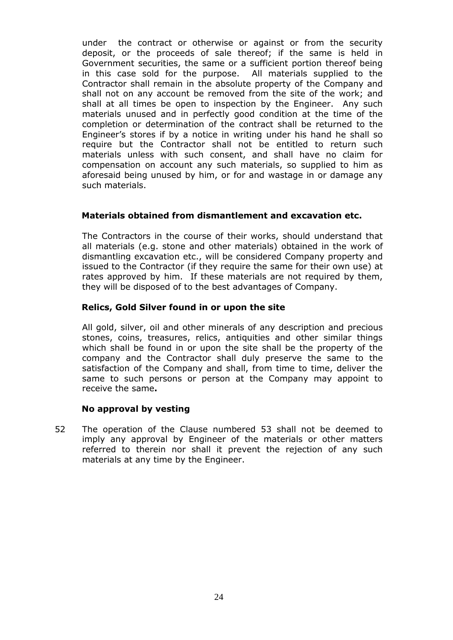under the contract or otherwise or against or from the security deposit, or the proceeds of sale thereof; if the same is held in Government securities, the same or a sufficient portion thereof being in this case sold for the purpose. All materials supplied to the Contractor shall remain in the absolute property of the Company and shall not on any account be removed from the site of the work; and shall at all times be open to inspection by the Engineer. Any such materials unused and in perfectly good condition at the time of the completion or determination of the contract shall be returned to the Engineer's stores if by a notice in writing under his hand he shall so require but the Contractor shall not be entitled to return such materials unless with such consent, and shall have no claim for compensation on account any such materials, so supplied to him as aforesaid being unused by him, or for and wastage in or damage any such materials.

# **Materials obtained from dismantlement and excavation etc.**

The Contractors in the course of their works, should understand that all materials (e.g. stone and other materials) obtained in the work of dismantling excavation etc., will be considered Company property and issued to the Contractor (if they require the same for their own use) at rates approved by him. If these materials are not required by them, they will be disposed of to the best advantages of Company.

### **Relics, Gold Silver found in or upon the site**

All gold, silver, oil and other minerals of any description and precious stones, coins, treasures, relics, antiquities and other similar things which shall be found in or upon the site shall be the property of the company and the Contractor shall duly preserve the same to the satisfaction of the Company and shall, from time to time, deliver the same to such persons or person at the Company may appoint to receive the same**.**

#### **No approval by vesting**

52 The operation of the Clause numbered 53 shall not be deemed to imply any approval by Engineer of the materials or other matters referred to therein nor shall it prevent the rejection of any such materials at any time by the Engineer.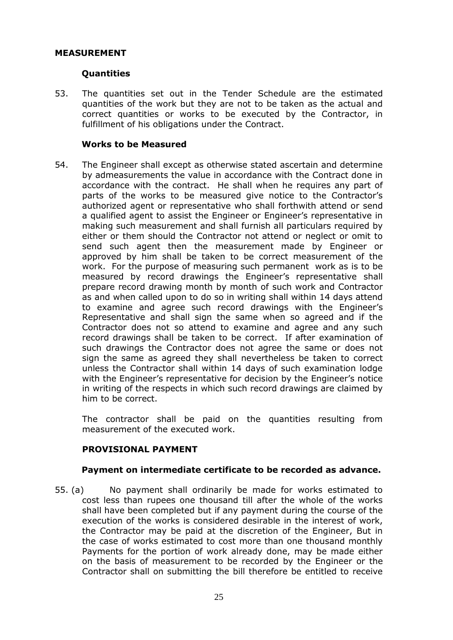### **MEASUREMENT**

#### **Quantities**

53. The quantities set out in the Tender Schedule are the estimated quantities of the work but they are not to be taken as the actual and correct quantities or works to be executed by the Contractor, in fulfillment of his obligations under the Contract.

#### **Works to be Measured**

54. The Engineer shall except as otherwise stated ascertain and determine by admeasurements the value in accordance with the Contract done in accordance with the contract. He shall when he requires any part of parts of the works to be measured give notice to the Contractor's authorized agent or representative who shall forthwith attend or send a qualified agent to assist the Engineer or Engineer's representative in making such measurement and shall furnish all particulars required by either or them should the Contractor not attend or neglect or omit to send such agent then the measurement made by Engineer or approved by him shall be taken to be correct measurement of the work. For the purpose of measuring such permanent work as is to be measured by record drawings the Engineer's representative shall prepare record drawing month by month of such work and Contractor as and when called upon to do so in writing shall within 14 days attend to examine and agree such record drawings with the Engineer's Representative and shall sign the same when so agreed and if the Contractor does not so attend to examine and agree and any such record drawings shall be taken to be correct. If after examination of such drawings the Contractor does not agree the same or does not sign the same as agreed they shall nevertheless be taken to correct unless the Contractor shall within 14 days of such examination lodge with the Engineer's representative for decision by the Engineer's notice in writing of the respects in which such record drawings are claimed by him to be correct.

The contractor shall be paid on the quantities resulting from measurement of the executed work.

# **PROVISIONAL PAYMENT**

#### **Payment on intermediate certificate to be recorded as advance.**

55. (a) No payment shall ordinarily be made for works estimated to cost less than rupees one thousand till after the whole of the works shall have been completed but if any payment during the course of the execution of the works is considered desirable in the interest of work, the Contractor may be paid at the discretion of the Engineer, But in the case of works estimated to cost more than one thousand monthly Payments for the portion of work already done, may be made either on the basis of measurement to be recorded by the Engineer or the Contractor shall on submitting the bill therefore be entitled to receive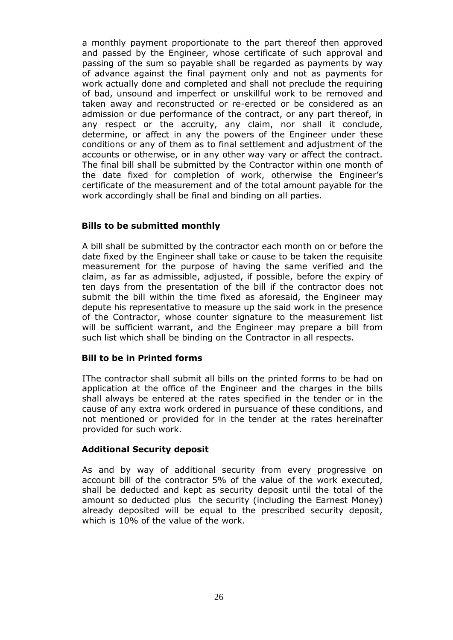a monthly payment proportionate to the part thereof then approved and passed by the Engineer, whose certificate of such approval and passing of the sum so payable shall be regarded as payments by way of advance against the final payment only and not as payments for work actually done and completed and shall not preclude the requiring of bad, unsound and imperfect or unskillful work to be removed and taken away and reconstructed or re-erected or be considered as an admission or due performance of the contract, or any part thereof, in any respect or the accruity, any claim, nor shall it conclude, determine, or affect in any the powers of the Engineer under these conditions or any of them as to final settlement and adjustment of the accounts or otherwise, or in any other way vary or affect the contract. The final bill shall be submitted by the Contractor within one month of the date fixed for completion of work, otherwise the Engineer's certificate of the measurement and of the total amount payable for the work accordingly shall be final and binding on all parties.

# **Bills to be submitted monthly**

A bill shall be submitted by the contractor each month on or before the date fixed by the Engineer shall take or cause to be taken the requisite measurement for the purpose of having the same verified and the claim, as far as admissible, adjusted, if possible, before the expiry of ten days from the presentation of the bill if the contractor does not submit the bill within the time fixed as aforesaid, the Engineer may depute his representative to measure up the said work in the presence of the Contractor, whose counter signature to the measurement list will be sufficient warrant, and the Engineer may prepare a bill from such list which shall be binding on the Contractor in all respects.

#### **Bill to be in Printed forms**

IThe contractor shall submit all bills on the printed forms to be had on application at the office of the Engineer and the charges in the bills shall always be entered at the rates specified in the tender or in the cause of any extra work ordered in pursuance of these conditions, and not mentioned or provided for in the tender at the rates hereinafter provided for such work.

#### **Additional Security deposit**

As and by way of additional security from every progressive on account bill of the contractor 5% of the value of the work executed, shall be deducted and kept as security deposit until the total of the amount so deducted plus the security (including the Earnest Money) already deposited will be equal to the prescribed security deposit, which is 10% of the value of the work.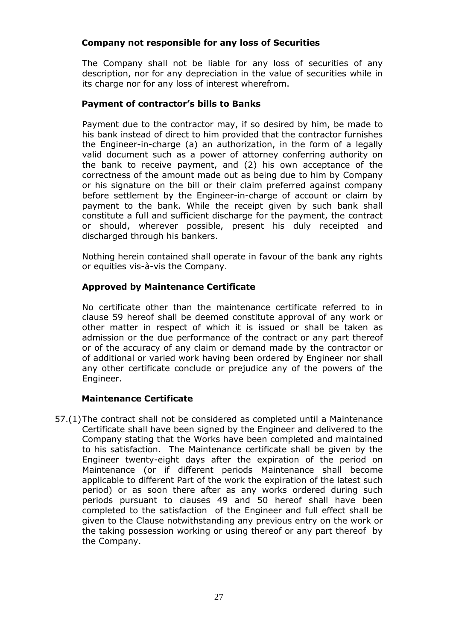# **Company not responsible for any loss of Securities**

The Company shall not be liable for any loss of securities of any description, nor for any depreciation in the value of securities while in its charge nor for any loss of interest wherefrom.

# **Payment of contractor's bills to Banks**

Payment due to the contractor may, if so desired by him, be made to his bank instead of direct to him provided that the contractor furnishes the Engineer-in-charge (a) an authorization, in the form of a legally valid document such as a power of attorney conferring authority on the bank to receive payment, and (2) his own acceptance of the correctness of the amount made out as being due to him by Company or his signature on the bill or their claim preferred against company before settlement by the Engineer-in-charge of account or claim by payment to the bank. While the receipt given by such bank shall constitute a full and sufficient discharge for the payment, the contract or should, wherever possible, present his duly receipted and discharged through his bankers.

Nothing herein contained shall operate in favour of the bank any rights or equities vis-à-vis the Company.

# **Approved by Maintenance Certificate**

No certificate other than the maintenance certificate referred to in clause 59 hereof shall be deemed constitute approval of any work or other matter in respect of which it is issued or shall be taken as admission or the due performance of the contract or any part thereof or of the accuracy of any claim or demand made by the contractor or of additional or varied work having been ordered by Engineer nor shall any other certificate conclude or prejudice any of the powers of the Engineer.

# **Maintenance Certificate**

57.(1)The contract shall not be considered as completed until a Maintenance Certificate shall have been signed by the Engineer and delivered to the Company stating that the Works have been completed and maintained to his satisfaction. The Maintenance certificate shall be given by the Engineer twenty-eight days after the expiration of the period on Maintenance (or if different periods Maintenance shall become applicable to different Part of the work the expiration of the latest such period) or as soon there after as any works ordered during such periods pursuant to clauses 49 and 50 hereof shall have been completed to the satisfaction of the Engineer and full effect shall be given to the Clause notwithstanding any previous entry on the work or the taking possession working or using thereof or any part thereof by the Company.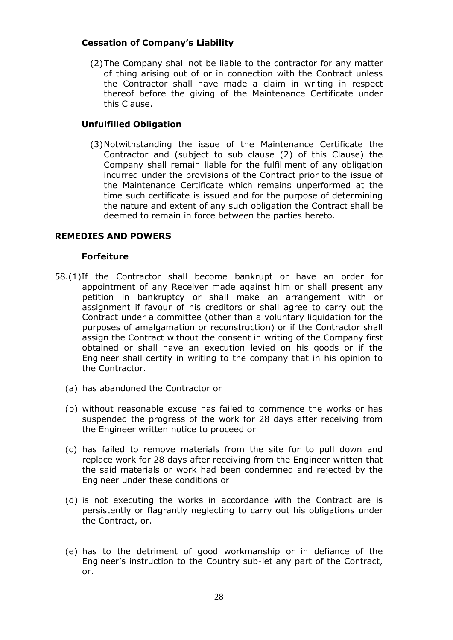# **Cessation of Company's Liability**

(2)The Company shall not be liable to the contractor for any matter of thing arising out of or in connection with the Contract unless the Contractor shall have made a claim in writing in respect thereof before the giving of the Maintenance Certificate under this Clause.

# **Unfulfilled Obligation**

(3)Notwithstanding the issue of the Maintenance Certificate the Contractor and (subject to sub clause (2) of this Clause) the Company shall remain liable for the fulfillment of any obligation incurred under the provisions of the Contract prior to the issue of the Maintenance Certificate which remains unperformed at the time such certificate is issued and for the purpose of determining the nature and extent of any such obligation the Contract shall be deemed to remain in force between the parties hereto.

# **REMEDIES AND POWERS**

### **Forfeiture**

- 58.(1)If the Contractor shall become bankrupt or have an order for appointment of any Receiver made against him or shall present any petition in bankruptcy or shall make an arrangement with or assignment if favour of his creditors or shall agree to carry out the Contract under a committee (other than a voluntary liquidation for the purposes of amalgamation or reconstruction) or if the Contractor shall assign the Contract without the consent in writing of the Company first obtained or shall have an execution levied on his goods or if the Engineer shall certify in writing to the company that in his opinion to the Contractor.
	- (a) has abandoned the Contractor or
	- (b) without reasonable excuse has failed to commence the works or has suspended the progress of the work for 28 days after receiving from the Engineer written notice to proceed or
	- (c) has failed to remove materials from the site for to pull down and replace work for 28 days after receiving from the Engineer written that the said materials or work had been condemned and rejected by the Engineer under these conditions or
	- (d) is not executing the works in accordance with the Contract are is persistently or flagrantly neglecting to carry out his obligations under the Contract, or.
	- (e) has to the detriment of good workmanship or in defiance of the Engineer's instruction to the Country sub-let any part of the Contract, or.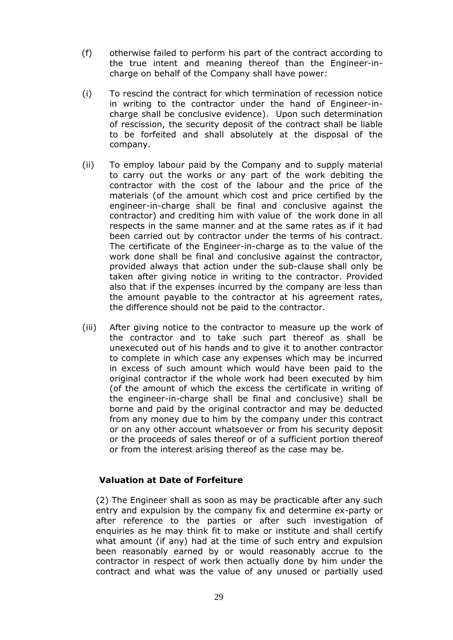- (f) otherwise failed to perform his part of the contract according to the true intent and meaning thereof than the Engineer-incharge on behalf of the Company shall have power:
- (i) To rescind the contract for which termination of recession notice in writing to the contractor under the hand of Engineer-incharge shall be conclusive evidence). Upon such determination of rescission, the security deposit of the contract shall be liable to be forfeited and shall absolutely at the disposal of the company.
- (ii) To employ labour paid by the Company and to supply material to carry out the works or any part of the work debiting the contractor with the cost of the labour and the price of the materials (of the amount which cost and price certified by the engineer-in-charge shall be final and conclusive against the contractor) and crediting him with value of the work done in all respects in the same manner and at the same rates as if it had been carried out by contractor under the terms of his contract. The certificate of the Engineer-in-charge as to the value of the work done shall be final and conclusive against the contractor, provided always that action under the sub-clause shall only be taken after giving notice in writing to the contractor. Provided also that if the expenses incurred by the company are less than the amount payable to the contractor at his agreement rates, the difference should not be paid to the contractor.
- (iii) After giving notice to the contractor to measure up the work of the contractor and to take such part thereof as shall be unexecuted out of his hands and to give it to another contractor to complete in which case any expenses which may be incurred in excess of such amount which would have been paid to the original contractor if the whole work had been executed by him (of the amount of which the excess the certificate in writing of the engineer-in-charge shall be final and conclusive) shall be borne and paid by the original contractor and may be deducted from any money due to him by the company under this contract or on any other account whatsoever or from his security deposit or the proceeds of sales thereof or of a sufficient portion thereof or from the interest arising thereof as the case may be.

# **Valuation at Date of Forfeiture**

(2) The Engineer shall as soon as may be practicable after any such entry and expulsion by the company fix and determine ex-party or after reference to the parties or after such investigation of enquiries as he may think fit to make or institute and shall certify what amount (if any) had at the time of such entry and expulsion been reasonably earned by or would reasonably accrue to the contractor in respect of work then actually done by him under the contract and what was the value of any unused or partially used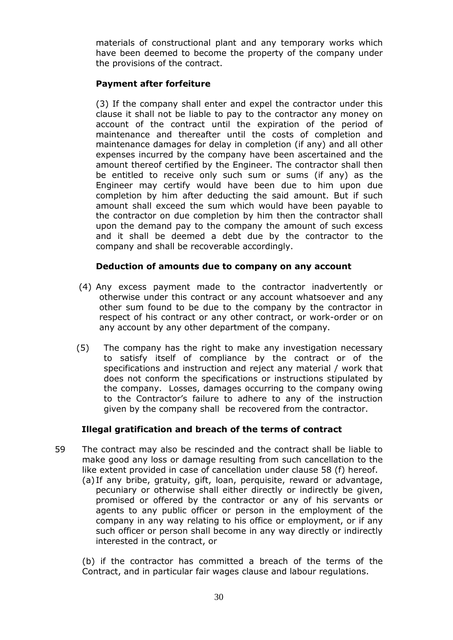materials of constructional plant and any temporary works which have been deemed to become the property of the company under the provisions of the contract.

# **Payment after forfeiture**

(3) If the company shall enter and expel the contractor under this clause it shall not be liable to pay to the contractor any money on account of the contract until the expiration of the period of maintenance and thereafter until the costs of completion and maintenance damages for delay in completion (if any) and all other expenses incurred by the company have been ascertained and the amount thereof certified by the Engineer. The contractor shall then be entitled to receive only such sum or sums (if any) as the Engineer may certify would have been due to him upon due completion by him after deducting the said amount. But if such amount shall exceed the sum which would have been payable to the contractor on due completion by him then the contractor shall upon the demand pay to the company the amount of such excess and it shall be deemed a debt due by the contractor to the company and shall be recoverable accordingly.

# **Deduction of amounts due to company on any account**

- (4) Any excess payment made to the contractor inadvertently or otherwise under this contract or any account whatsoever and any other sum found to be due to the company by the contractor in respect of his contract or any other contract, or work-order or on any account by any other department of the company.
- (5) The company has the right to make any investigation necessary to satisfy itself of compliance by the contract or of the specifications and instruction and reject any material / work that does not conform the specifications or instructions stipulated by the company. Losses, damages occurring to the company owing to the Contractor's failure to adhere to any of the instruction given by the company shall be recovered from the contractor.

# **Illegal gratification and breach of the terms of contract**

- 59 The contract may also be rescinded and the contract shall be liable to make good any loss or damage resulting from such cancellation to the like extent provided in case of cancellation under clause 58 (f) hereof.
	- (a) If any bribe, gratuity, gift, loan, perquisite, reward or advantage, pecuniary or otherwise shall either directly or indirectly be given, promised or offered by the contractor or any of his servants or agents to any public officer or person in the employment of the company in any way relating to his office or employment, or if any such officer or person shall become in any way directly or indirectly interested in the contract, or

(b) if the contractor has committed a breach of the terms of the Contract, and in particular fair wages clause and labour regulations.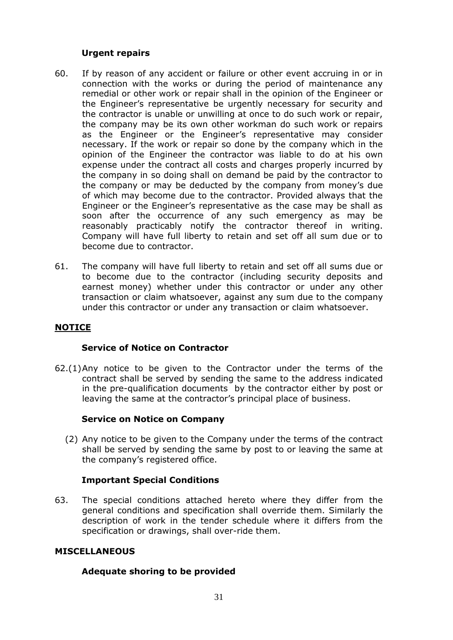# **Urgent repairs**

- 60. If by reason of any accident or failure or other event accruing in or in connection with the works or during the period of maintenance any remedial or other work or repair shall in the opinion of the Engineer or the Engineer's representative be urgently necessary for security and the contractor is unable or unwilling at once to do such work or repair, the company may be its own other workman do such work or repairs as the Engineer or the Engineer's representative may consider necessary. If the work or repair so done by the company which in the opinion of the Engineer the contractor was liable to do at his own expense under the contract all costs and charges properly incurred by the company in so doing shall on demand be paid by the contractor to the company or may be deducted by the company from money's due of which may become due to the contractor. Provided always that the Engineer or the Engineer's representative as the case may be shall as soon after the occurrence of any such emergency as may be reasonably practicably notify the contractor thereof in writing. Company will have full liberty to retain and set off all sum due or to become due to contractor.
- 61. The company will have full liberty to retain and set off all sums due or to become due to the contractor (including security deposits and earnest money) whether under this contractor or under any other transaction or claim whatsoever, against any sum due to the company under this contractor or under any transaction or claim whatsoever.

# **NOTICE**

#### **Service of Notice on Contractor**

62.(1)Any notice to be given to the Contractor under the terms of the contract shall be served by sending the same to the address indicated in the pre-qualification documents by the contractor either by post or leaving the same at the contractor's principal place of business.

# **Service on Notice on Company**

(2) Any notice to be given to the Company under the terms of the contract shall be served by sending the same by post to or leaving the same at the company's registered office.

# **Important Special Conditions**

63. The special conditions attached hereto where they differ from the general conditions and specification shall override them. Similarly the description of work in the tender schedule where it differs from the specification or drawings, shall over-ride them.

#### **MISCELLANEOUS**

#### **Adequate shoring to be provided**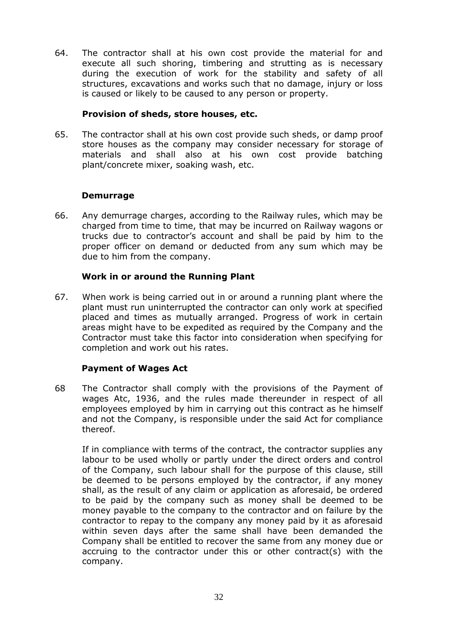64. The contractor shall at his own cost provide the material for and execute all such shoring, timbering and strutting as is necessary during the execution of work for the stability and safety of all structures, excavations and works such that no damage, injury or loss is caused or likely to be caused to any person or property.

## **Provision of sheds, store houses, etc.**

65. The contractor shall at his own cost provide such sheds, or damp proof store houses as the company may consider necessary for storage of materials and shall also at his own cost provide batching plant/concrete mixer, soaking wash, etc.

# **Demurrage**

66. Any demurrage charges, according to the Railway rules, which may be charged from time to time, that may be incurred on Railway wagons or trucks due to contractor's account and shall be paid by him to the proper officer on demand or deducted from any sum which may be due to him from the company.

# **Work in or around the Running Plant**

67. When work is being carried out in or around a running plant where the plant must run uninterrupted the contractor can only work at specified placed and times as mutually arranged. Progress of work in certain areas might have to be expedited as required by the Company and the Contractor must take this factor into consideration when specifying for completion and work out his rates.

# **Payment of Wages Act**

68 The Contractor shall comply with the provisions of the Payment of wages Atc, 1936, and the rules made thereunder in respect of all employees employed by him in carrying out this contract as he himself and not the Company, is responsible under the said Act for compliance thereof.

If in compliance with terms of the contract, the contractor supplies any labour to be used wholly or partly under the direct orders and control of the Company, such labour shall for the purpose of this clause, still be deemed to be persons employed by the contractor, if any money shall, as the result of any claim or application as aforesaid, be ordered to be paid by the company such as money shall be deemed to be money payable to the company to the contractor and on failure by the contractor to repay to the company any money paid by it as aforesaid within seven days after the same shall have been demanded the Company shall be entitled to recover the same from any money due or accruing to the contractor under this or other contract(s) with the company.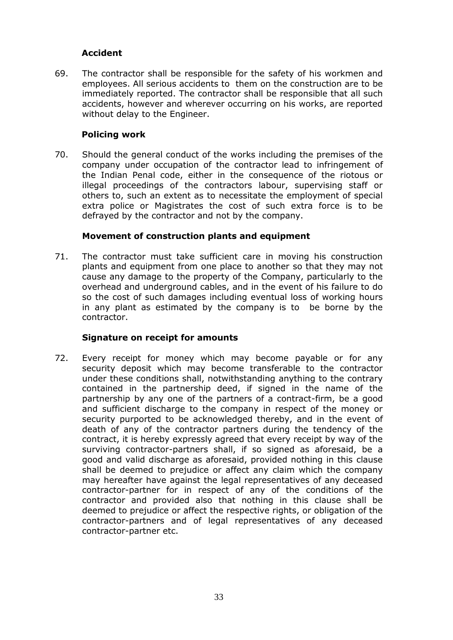# **Accident**

69. The contractor shall be responsible for the safety of his workmen and employees. All serious accidents to them on the construction are to be immediately reported. The contractor shall be responsible that all such accidents, however and wherever occurring on his works, are reported without delay to the Engineer.

# **Policing work**

70. Should the general conduct of the works including the premises of the company under occupation of the contractor lead to infringement of the Indian Penal code, either in the consequence of the riotous or illegal proceedings of the contractors labour, supervising staff or others to, such an extent as to necessitate the employment of special extra police or Magistrates the cost of such extra force is to be defrayed by the contractor and not by the company.

# **Movement of construction plants and equipment**

71. The contractor must take sufficient care in moving his construction plants and equipment from one place to another so that they may not cause any damage to the property of the Company, particularly to the overhead and underground cables, and in the event of his failure to do so the cost of such damages including eventual loss of working hours in any plant as estimated by the company is to be borne by the contractor.

# **Signature on receipt for amounts**

72. Every receipt for money which may become payable or for any security deposit which may become transferable to the contractor under these conditions shall, notwithstanding anything to the contrary contained in the partnership deed, if signed in the name of the partnership by any one of the partners of a contract-firm, be a good and sufficient discharge to the company in respect of the money or security purported to be acknowledged thereby, and in the event of death of any of the contractor partners during the tendency of the contract, it is hereby expressly agreed that every receipt by way of the surviving contractor-partners shall, if so signed as aforesaid, be a good and valid discharge as aforesaid, provided nothing in this clause shall be deemed to prejudice or affect any claim which the company may hereafter have against the legal representatives of any deceased contractor-partner for in respect of any of the conditions of the contractor and provided also that nothing in this clause shall be deemed to prejudice or affect the respective rights, or obligation of the contractor-partners and of legal representatives of any deceased contractor-partner etc.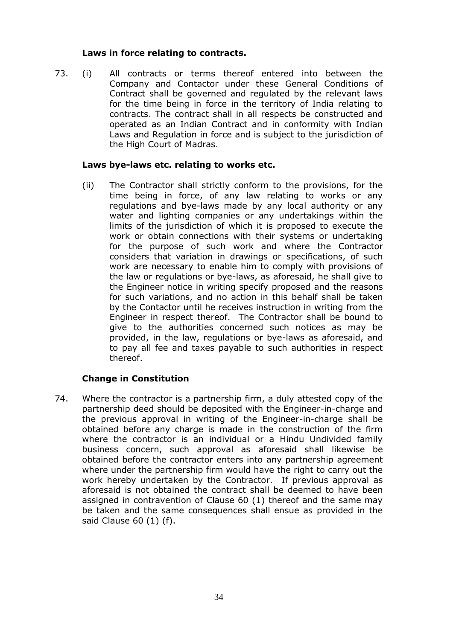## **Laws in force relating to contracts.**

73. (i) All contracts or terms thereof entered into between the Company and Contactor under these General Conditions of Contract shall be governed and regulated by the relevant laws for the time being in force in the territory of India relating to contracts. The contract shall in all respects be constructed and operated as an Indian Contract and in conformity with Indian Laws and Regulation in force and is subject to the jurisdiction of the High Court of Madras.

### **Laws bye-laws etc. relating to works etc.**

(ii) The Contractor shall strictly conform to the provisions, for the time being in force, of any law relating to works or any regulations and bye-laws made by any local authority or any water and lighting companies or any undertakings within the limits of the jurisdiction of which it is proposed to execute the work or obtain connections with their systems or undertaking for the purpose of such work and where the Contractor considers that variation in drawings or specifications, of such work are necessary to enable him to comply with provisions of the law or regulations or bye-laws, as aforesaid, he shall give to the Engineer notice in writing specify proposed and the reasons for such variations, and no action in this behalf shall be taken by the Contactor until he receives instruction in writing from the Engineer in respect thereof. The Contractor shall be bound to give to the authorities concerned such notices as may be provided, in the law, regulations or bye-laws as aforesaid, and to pay all fee and taxes payable to such authorities in respect thereof.

# **Change in Constitution**

74. Where the contractor is a partnership firm, a duly attested copy of the partnership deed should be deposited with the Engineer-in-charge and the previous approval in writing of the Engineer-in-charge shall be obtained before any charge is made in the construction of the firm where the contractor is an individual or a Hindu Undivided family business concern, such approval as aforesaid shall likewise be obtained before the contractor enters into any partnership agreement where under the partnership firm would have the right to carry out the work hereby undertaken by the Contractor. If previous approval as aforesaid is not obtained the contract shall be deemed to have been assigned in contravention of Clause 60 (1) thereof and the same may be taken and the same consequences shall ensue as provided in the said Clause 60 (1) (f).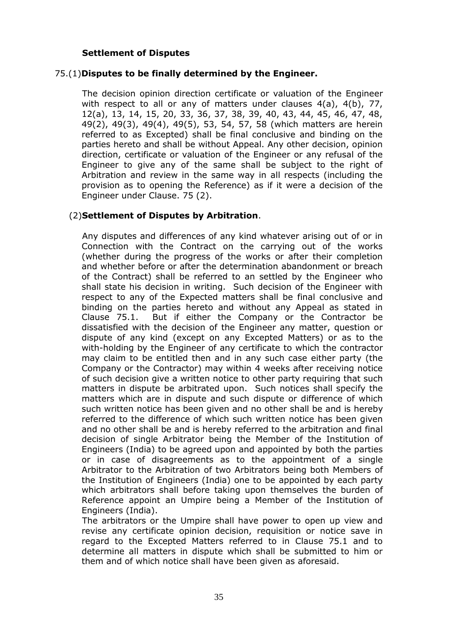# **Settlement of Disputes**

## 75.(1)**Disputes to be finally determined by the Engineer.**

The decision opinion direction certificate or valuation of the Engineer with respect to all or any of matters under clauses 4(a), 4(b), 77, 12(a), 13, 14, 15, 20, 33, 36, 37, 38, 39, 40, 43, 44, 45, 46, 47, 48, 49(2), 49(3), 49(4), 49(5), 53, 54, 57, 58 (which matters are herein referred to as Excepted) shall be final conclusive and binding on the parties hereto and shall be without Appeal. Any other decision, opinion direction, certificate or valuation of the Engineer or any refusal of the Engineer to give any of the same shall be subject to the right of Arbitration and review in the same way in all respects (including the provision as to opening the Reference) as if it were a decision of the Engineer under Clause. 75 (2).

### (2)**Settlement of Disputes by Arbitration**.

Any disputes and differences of any kind whatever arising out of or in Connection with the Contract on the carrying out of the works (whether during the progress of the works or after their completion and whether before or after the determination abandonment or breach of the Contract) shall be referred to an settled by the Engineer who shall state his decision in writing. Such decision of the Engineer with respect to any of the Expected matters shall be final conclusive and binding on the parties hereto and without any Appeal as stated in Clause 75.1. But if either the Company or the Contractor be dissatisfied with the decision of the Engineer any matter, question or dispute of any kind (except on any Excepted Matters) or as to the with-holding by the Engineer of any certificate to which the contractor may claim to be entitled then and in any such case either party (the Company or the Contractor) may within 4 weeks after receiving notice of such decision give a written notice to other party requiring that such matters in dispute be arbitrated upon. Such notices shall specify the matters which are in dispute and such dispute or difference of which such written notice has been given and no other shall be and is hereby referred to the difference of which such written notice has been given and no other shall be and is hereby referred to the arbitration and final decision of single Arbitrator being the Member of the Institution of Engineers (India) to be agreed upon and appointed by both the parties or in case of disagreements as to the appointment of a single Arbitrator to the Arbitration of two Arbitrators being both Members of the Institution of Engineers (India) one to be appointed by each party which arbitrators shall before taking upon themselves the burden of Reference appoint an Umpire being a Member of the Institution of Engineers (India).

The arbitrators or the Umpire shall have power to open up view and revise any certificate opinion decision, requisition or notice save in regard to the Excepted Matters referred to in Clause 75.1 and to determine all matters in dispute which shall be submitted to him or them and of which notice shall have been given as aforesaid.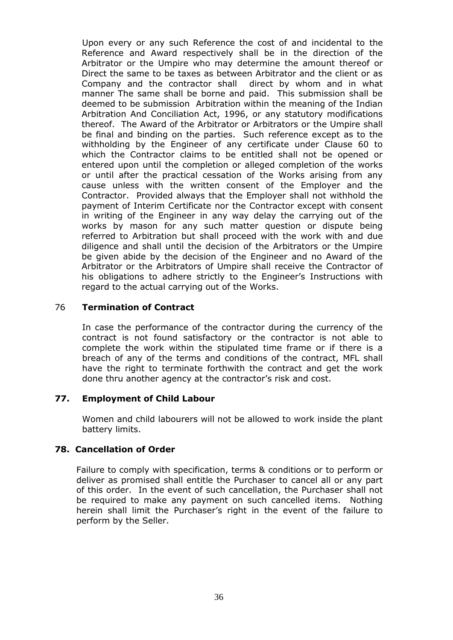Upon every or any such Reference the cost of and incidental to the Reference and Award respectively shall be in the direction of the Arbitrator or the Umpire who may determine the amount thereof or Direct the same to be taxes as between Arbitrator and the client or as Company and the contractor shall direct by whom and in what manner The same shall be borne and paid. This submission shall be deemed to be submission Arbitration within the meaning of the Indian Arbitration And Conciliation Act, 1996, or any statutory modifications thereof. The Award of the Arbitrator or Arbitrators or the Umpire shall be final and binding on the parties. Such reference except as to the withholding by the Engineer of any certificate under Clause 60 to which the Contractor claims to be entitled shall not be opened or entered upon until the completion or alleged completion of the works or until after the practical cessation of the Works arising from any cause unless with the written consent of the Employer and the Contractor. Provided always that the Employer shall not withhold the payment of Interim Certificate nor the Contractor except with consent in writing of the Engineer in any way delay the carrying out of the works by mason for any such matter question or dispute being referred to Arbitration but shall proceed with the work with and due diligence and shall until the decision of the Arbitrators or the Umpire be given abide by the decision of the Engineer and no Award of the Arbitrator or the Arbitrators of Umpire shall receive the Contractor of his obligations to adhere strictly to the Engineer's Instructions with regard to the actual carrying out of the Works.

### 76 **Termination of Contract**

In case the performance of the contractor during the currency of the contract is not found satisfactory or the contractor is not able to complete the work within the stipulated time frame or if there is a breach of any of the terms and conditions of the contract, MFL shall have the right to terminate forthwith the contract and get the work done thru another agency at the contractor's risk and cost.

# **77. Employment of Child Labour**

Women and child labourers will not be allowed to work inside the plant battery limits.

# **78. Cancellation of Order**

Failure to comply with specification, terms & conditions or to perform or deliver as promised shall entitle the Purchaser to cancel all or any part of this order. In the event of such cancellation, the Purchaser shall not be required to make any payment on such cancelled items. Nothing herein shall limit the Purchaser's right in the event of the failure to perform by the Seller.